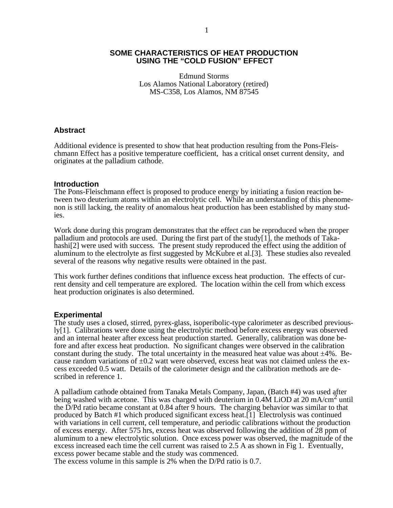### **SOME CHARACTERISTICS OF HEAT PRODUCTION USING THE "COLD FUSION" EFFECT**

Edmund Storms Los Alamos National Laboratory (retired) MS-C358, Los Alamos, NM 87545

### **Abstract**

Additional evidence is presented to show that heat production resulting from the Pons-Fleischmann Effect has a positive temperature coefficient, has a critical onset current density, and originates at the palladium cathode.

#### **Introduction**

The Pons-Fleischmann effect is proposed to produce energy by initiating a fusion reaction between two deuterium atoms within an electrolytic cell. While an understanding of this phenomenon is still lacking, the reality of anomalous heat production has been established by many studies.

Work done during this program demonstrates that the effect can be reproduced when the proper palladium and protocols are used. During the first part of the study[1], the methods of Takahashi<sup>[2]</sup> were used with success. The present study reproduced the effect using the addition of aluminum to the electrolyte as first suggested by McKubre et al.[3]. These studies also revealed several of the reasons why negative results were obtained in the past.

This work further defines conditions that influence excess heat production. The effects of current density and cell temperature are explored. The location within the cell from which excess heat production originates is also determined.

#### **Experimental**

The study uses a closed, stirred, pyrex-glass, isoperibolic-type calorimeter as described previously[1]. Calibrations were done using the electrolytic method before excess energy was observed and an internal heater after excess heat production started. Generally, calibration was done before and after excess heat production. No significant changes were observed in the calibration constant during the study. The total uncertainty in the measured heat value was about  $\pm 4\%$ . Because random variations of  $\pm 0.2$  watt were observed, excess heat was not claimed unless the excess exceeded 0.5 watt. Details of the calorimeter design and the calibration methods are described in reference 1.

A palladium cathode obtained from Tanaka Metals Company, Japan, (Batch #4) was used after being washed with acetone. This was charged with deuterium in  $0.4M$  LiOD at  $20 \text{ mA/cm}^2$  until the D/Pd ratio became constant at 0.84 after 9 hours. The charging behavior was similar to that produced by Batch #1 which produced significant excess heat.[1] Electrolysis was continued with variations in cell current, cell temperature, and periodic calibrations without the production of excess energy. After 575 hrs, excess heat was observed following the addition of 28 ppm of aluminum to a new electrolytic solution. Once excess power was observed, the magnitude of the excess increased each time the cell current was raised to 2.5 A as shown in Fig 1. Eventually, excess power became stable and the study was commenced.

The excess volume in this sample is 2% when the D/Pd ratio is 0.7.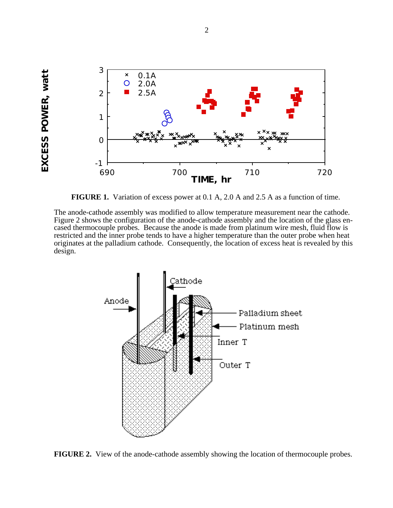

EXCESS POWER, watt **EXCESS POWER, watt**

**FIGURE 1.** Variation of excess power at 0.1 A, 2.0 A and 2.5 A as a function of time.

The anode-cathode assembly was modified to allow temperature measurement near the cathode. Figure 2 shows the configuration of the anode-cathode assembly and the location of the glass encased thermocouple probes. Because the anode is made from platinum wire mesh, fluid flow is restricted and the inner probe tends to have a higher temperature than the outer probe when heat originates at the palladium cathode. Consequently, the location of excess heat is revealed by this design.



**FIGURE 2.** View of the anode-cathode assembly showing the location of thermocouple probes.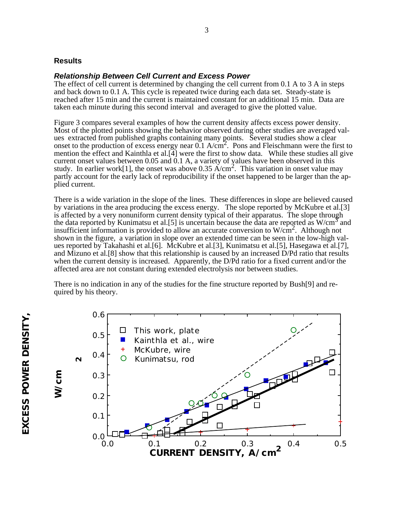## **Results**

### *Relationship Between Cell Current and Excess Power*

The effect of cell current is determined by changing the cell current from 0.1 A to 3 A in steps and back down to 0.1 A. This cycle is repeated twice during each data set. Steady-state is reached after 15 min and the current is maintained constant for an additional 15 min. Data are taken each minute during this second interval and averaged to give the plotted value.

Figure 3 compares several examples of how the current density affects excess power density. Most of the plotted points showing the behavior observed during other studies are averaged values extracted from published graphs containing many points. Several studies show a clear onset to the production of excess energy near 0.1 A/cm<sup>2</sup>. Pons and Fleischmann were the first to mention the effect and Kainthla et al.[4] were the first to show data. While these studies all give current onset values between 0.05 and 0.1 A, a variety of values have been observed in this study. In earlier work[1], the onset was above  $0.35 \text{ A/cm}^2$ . This variation in onset value may partly account for the early lack of reproducibility if the onset happened to be larger than the applied current.

There is a wide variation in the slope of the lines. These differences in slope are believed caused by variations in the area producing the excess energy. The slope reported by McKubre et al.[3] is affected by a very nonuniform current density typical of their apparatus. The slope through the data reported by Kunimatsu et al.[5] is uncertain because the data are reported as  $W/cm^3$  and insufficient information is provided to allow an accurate conversion to  $W/cm<sup>2</sup>$ . Although not shown in the figure, a variation in slope over an extended time can be seen in the low-high values reported by Takahashi et al.[6]. McKubre et al.[3], Kunimatsu et al.[5], Hasegawa et al.[7], and Mizuno et al.[8] show that this relationship is caused by an increased D/Pd ratio that results when the current density is increased. Apparently, the D/Pd ratio for a fixed current and/or the affected area are not constant during extended electrolysis nor between studies.

There is no indication in any of the studies for the fine structure reported by Bush[9] and required by his theory.

0.0 0.1 0.2 0.3 0.4 0.5  $0.0 - 0.0$ 0.1 0.2 0.3 0.4 0.5 0.6 This work, plate Kainthla et al., wire McKubre, wire Kunimatsu, rod **CURRENT DENSITY, A/cm 2**  $\mathbf{Q}$ 

 **W/cm**

W/cm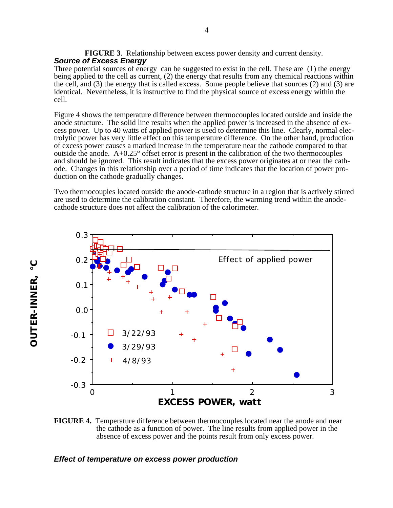**FIGURE 3**. Relationship between excess power density and current density. *Source of Excess Energy*

Three potential sources of energy can be suggested to exist in the cell. These are (1) the energy being applied to the cell as current, (2) the energy that results from any chemical reactions within the cell, and (3) the energy that is called excess. Some people believe that sources (2) and (3) are identical. Nevertheless, it is instructive to find the physical source of excess energy within the cell.

Figure 4 shows the temperature difference between thermocouples located outside and inside the anode structure. The solid line results when the applied power is increased in the absence of excess power. Up to 40 watts of applied power is used to determine this line. Clearly, normal electrolytic power has very little effect on this temperature difference. On the other hand, production of excess power causes a marked increase in the temperature near the cathode compared to that outside the anode.  $A+0.25^{\circ}$  offset error is present in the calibration of the two thermocouples and should be ignored. This result indicates that the excess power originates at or near the cathode. Changes in this relationship over a period of time indicates that the location of power production on the cathode gradually changes.

Two thermocouples located outside the anode-cathode structure in a region that is actively stirred are used to determine the calibration constant. Therefore, the warming trend within the anodecathode structure does not affect the calibration of the calorimeter.



**FIGURE 4.** Temperature difference between thermocouples located near the anode and near the cathode as a function of power. The line results from applied power in the absence of excess power and the points result from only excess power.

### *Effect of temperature on excess power production*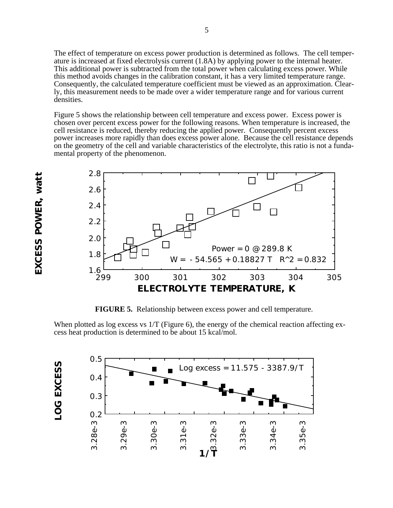The effect of temperature on excess power production is determined as follows. The cell temperature is increased at fixed electrolysis current (1.8A) by applying power to the internal heater. This additional power is subtracted from the total power when calculating excess power. While this method avoids changes in the calibration constant, it has a very limited temperature range. Consequently, the calculated temperature coefficient must be viewed as an approximation. Clearly, this measurement needs to be made over a wider temperature range and for various current densities.

Figure 5 shows the relationship between cell temperature and excess power. Excess power is chosen over percent excess power for the following reasons. When temperature is increased, the cell resistance is reduced, thereby reducing the applied power. Consequently percent excess power increases more rapidly than does excess power alone. Because the cell resistance depends on the geometry of the cell and variable characteristics of the electrolyte, this ratio is not a fundamental property of the phenomenon.



**FIGURE 5.** Relationship between excess power and cell temperature.

When plotted as log excess vs 1/T (Figure 6), the energy of the chemical reaction affecting excess heat production is determined to be about 15 kcal/mol.

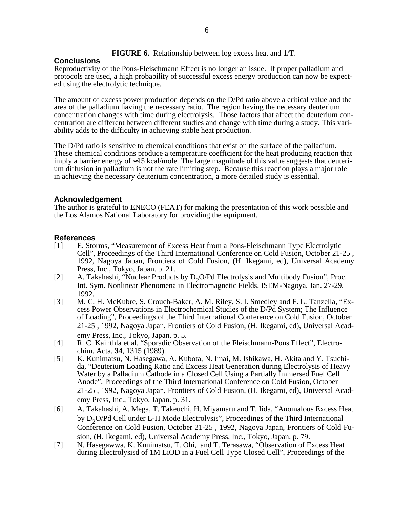### **FIGURE 6.** Relationship between log excess heat and 1/T.

# **Conclusions**

Reproductivity of the Pons-Fleischmann Effect is no longer an issue. If proper palladium and protocols are used, a high probability of successful excess energy production can now be expected using the electrolytic technique.

The amount of excess power production depends on the D/Pd ratio above a critical value and the area of the palladium having the necessary ratio. The region having the necessary deuterium concentration changes with time during electrolysis. Those factors that affect the deuterium concentration are different between different studies and change with time during a study. This variability adds to the difficulty in achieving stable heat production.

The D/Pd ratio is sensitive to chemical conditions that exist on the surface of the palladium. These chemical conditions produce a temperature coefficient for the heat producing reaction that imply a barrier energy of  $\overline{15}$  kcal/mole. The large magnitude of this value suggests that deuterium diffusion in palladium is not the rate limiting step. Because this reaction plays a major role in achieving the necessary deuterium concentration, a more detailed study is essential.

# **Acknowledgement**

The author is grateful to ENECO (FEAT) for making the presentation of this work possible and the Los Alamos National Laboratory for providing the equipment.

# **References**

- [1] E. Storms, "Measurement of Excess Heat from a Pons-Fleischmann Type Electrolytic Cell", Proceedings of the Third International Conference on Cold Fusion, October 21-25 , 1992, Nagoya Japan, Frontiers of Cold Fusion, (H. Ikegami, ed), Universal Academy Press, Inc., Tokyo, Japan. p. 21.
- [2] A. Takahashi, "Nuclear Products by D<sub>2</sub>O/Pd Electrolysis and Multibody Fusion", Proc. Int. Sym. Nonlinear Phenomena in Electromagnetic Fields, ISEM-Nagoya, Jan. 27-29, 1992.
- [3] M. C. H. McKubre, S. Crouch-Baker, A. M. Riley, S. I. Smedley and F. L. Tanzella, "Excess Power Observations in Electrochemical Studies of the D/Pd System; The Influence of Loading", Proceedings of the Third International Conference on Cold Fusion, October 21-25 , 1992, Nagoya Japan, Frontiers of Cold Fusion, (H. Ikegami, ed), Universal Academy Press, Inc., Tokyo, Japan. p. 5.
- [4] R. C. Kainthla et al. "Sporadic Observation of the Fleischmann-Pons Effect", Electrochim. Acta. **34**, 1315 (1989).
- [5] K. Kunimatsu, N. Hasegawa, A. Kubota, N. Imai, M. Ishikawa, H. Akita and Y. Tsuchida, "Deuterium Loading Ratio and Excess Heat Generation during Electrolysis of Heavy Water by a Palladium Cathode in a Closed Cell Using a Partially Immersed Fuel Cell Anode", Proceedings of the Third International Conference on Cold Fusion, October 21-25 , 1992, Nagoya Japan, Frontiers of Cold Fusion, (H. Ikegami, ed), Universal Academy Press, Inc., Tokyo, Japan. p. 31.
- [6] A. Takahashi, A. Mega, T. Takeuchi, H. Miyamaru and T. Iida, "Anomalous Excess Heat by  $D_2$ O/Pd Cell under L-H Mode Electrolysis", Proceedings of the Third International Conference on Cold Fusion, October 21-25 , 1992, Nagoya Japan, Frontiers of Cold Fusion, (H. Ikegami, ed), Universal Academy Press, Inc., Tokyo, Japan, p. 79.
- [7] N. Hasegawwa, K. Kunimatsu, T. Ohi, and T. Terasawa, "Observation of Excess Heat during Electrolysisd of 1M LiOD in a Fuel Cell Type Closed Cell", Proceedings of the